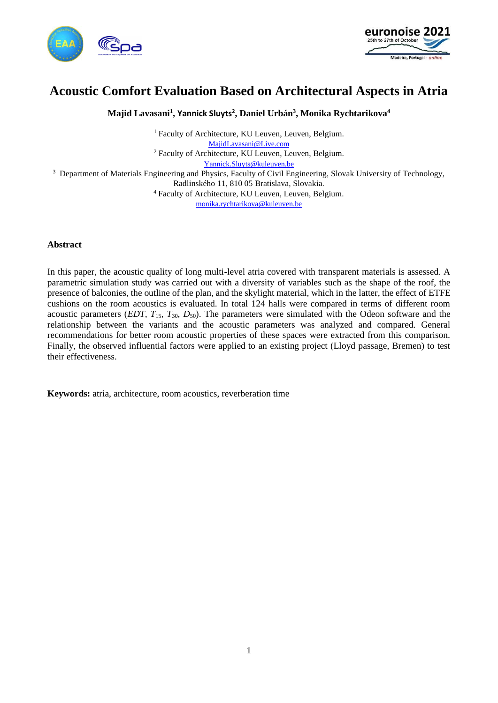



# **Acoustic Comfort Evaluation Based on Architectural Aspects in Atria**

**Majid Lavasani<sup>1</sup> , Yannick Sluyts<sup>2</sup> , Daniel Urbán<sup>3</sup> , Monika Rychtarikova<sup>4</sup>**

<sup>1</sup> Faculty of Architecture, KU Leuven, Leuven, Belgium. [MajidLavasani@Live.com](mailto:MajidLavasani@Live.com) <sup>2</sup> Faculty of Architecture, KU Leuven, Leuven, Belgium. [Yannick.Sluyts@kuleuven.be](mailto:Yannick.Sluyts@kuleuven.be) <sup>3</sup> Department of Materials Engineering and Physics, Faculty of Civil Engineering, Slovak University of Technology, Radlinského 11, 810 05 Bratislava, Slovakia. <sup>4</sup> Faculty of Architecture, KU Leuven, Leuven, Belgium. [monika.rychtarikova@kuleuven.be](mailto:monika.rychtarikova@kuleuven.be)

# **Abstract**

In this paper, the acoustic quality of long multi-level atria covered with transparent materials is assessed. A parametric simulation study was carried out with a diversity of variables such as the shape of the roof, the presence of balconies, the outline of the plan, and the skylight material, which in the latter, the effect of ETFE cushions on the room acoustics is evaluated. In total 124 halls were compared in terms of different room acoustic parameters (*EDT, T*15*, T*30*, D*50). The parameters were simulated with the Odeon software and the relationship between the variants and the acoustic parameters was analyzed and compared. General recommendations for better room acoustic properties of these spaces were extracted from this comparison. Finally, the observed influential factors were applied to an existing project (Lloyd passage, Bremen) to test their effectiveness.

**Keywords:** atria, architecture, room acoustics, reverberation time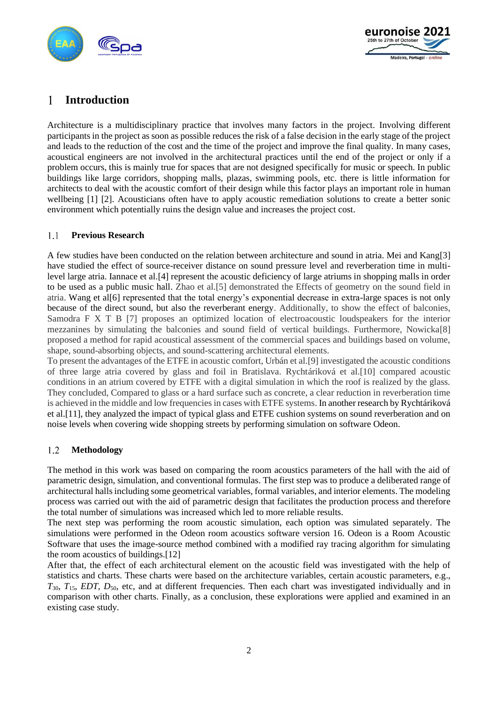



# 1 **Introduction**

Architecture is a multidisciplinary practice that involves many factors in the project. Involving different participants in the project as soon as possible reduces the risk of a false decision in the early stage of the project and leads to the reduction of the cost and the time of the project and improve the final quality. In many cases, acoustical engineers are not involved in the architectural practices until the end of the project or only if a problem occurs, this is mainly true for spaces that are not designed specifically for music or speech. In public buildings like large corridors, shopping malls, plazas, swimming pools, etc. there is little information for architects to deal with the acoustic comfort of their design while this factor plays an important role in human wellbeing [1] [2]. Acousticians often have to apply acoustic remediation solutions to create a better sonic environment which potentially ruins the design value and increases the project cost.

# $1.1$ **Previous Research**

A few studies have been conducted on the relation between architecture and sound in atria. Mei and Kang[3] have studied the effect of source-receiver distance on sound pressure level and reverberation time in multilevel large atria. Iannace et al.[4] represent the acoustic deficiency of large atriums in shopping malls in order to be used as a public music hall. Zhao et al.[5] demonstrated the Effects of geometry on the sound field in atria. Wang et al[6] represented that the total energy's exponential decrease in extra-large spaces is not only because of the direct sound, but also the reverberant energy. Additionally, to show the effect of balconies, Samodra F X T B [7] proposes an optimized location of electroacoustic loudspeakers for the interior mezzanines by simulating the balconies and sound field of vertical buildings. Furthermore, Nowicka[8] proposed a method for rapid acoustical assessment of the commercial spaces and buildings based on volume, shape, sound-absorbing objects, and sound-scattering architectural elements.

To present the advantages of the ETFE in acoustic comfort, Urbán et al.[9] investigated the acoustic conditions of three large atria covered by glass and foil in Bratislava. Rychtáriková et al.[10] compared acoustic conditions in an atrium covered by ETFE with a digital simulation in which the roof is realized by the glass. They concluded, Compared to glass or a hard surface such as concrete, a clear reduction in reverberation time is achieved in the middle and low frequencies in cases with ETFE systems. In another research by Rychtáriková et al.[11], they analyzed the impact of typical glass and ETFE cushion systems on sound reverberation and on noise levels when covering wide shopping streets by performing simulation on software Odeon.

# 1.2 **Methodology**

The method in this work was based on comparing the room acoustics parameters of the hall with the aid of parametric design, simulation, and conventional formulas. The first step was to produce a deliberated range of architectural halls including some geometrical variables, formal variables, and interior elements. The modeling process was carried out with the aid of parametric design that facilitates the production process and therefore the total number of simulations was increased which led to more reliable results.

The next step was performing the room acoustic simulation, each option was simulated separately. The simulations were performed in the Odeon room acoustics software version 16. Odeon is a Room Acoustic Software that uses the image-source method combined with a modified ray tracing algorithm for simulating the room acoustics of buildings.[12]

After that, the effect of each architectural element on the acoustic field was investigated with the help of statistics and charts. These charts were based on the architecture variables, certain acoustic parameters, e.g., *T*30, *T*15, *EDT*, *D*50, etc, and at different frequencies. Then each chart was investigated individually and in comparison with other charts. Finally, as a conclusion, these explorations were applied and examined in an existing case study.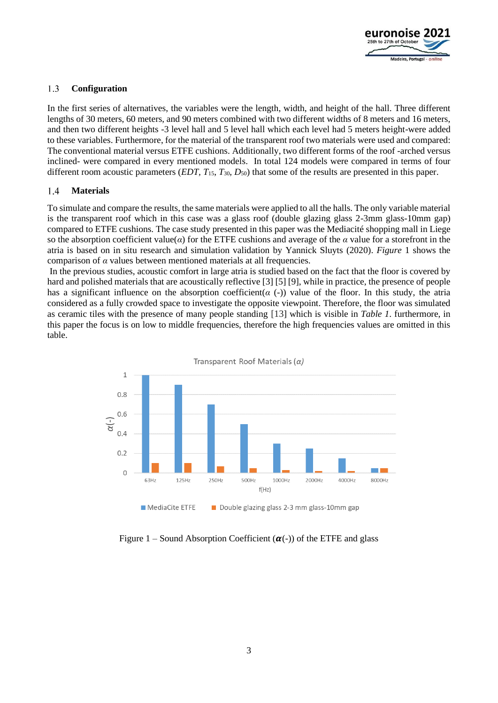

# $1.3$ **Configuration**

In the first series of alternatives, the variables were the length, width, and height of the hall. Three different lengths of 30 meters, 60 meters, and 90 meters combined with two different widths of 8 meters and 16 meters, and then two different heights -3 level hall and 5 level hall which each level had 5 meters height-were added to these variables. Furthermore, for the material of the transparent roof two materials were used and compared: The conventional material versus ETFE cushions. Additionally, two different forms of the roof -arched versus inclined- were compared in every mentioned models. In total 124 models were compared in terms of four different room acoustic parameters (*EDT, T*15*, T*30*, D*50) that some of the results are presented in this paper.

### $1.4$ **Materials**

To simulate and compare the results, the same materials were applied to all the halls. The only variable material is the transparent roof which in this case was a glass roof (double glazing glass 2-3mm glass-10mm gap) compared to ETFE cushions. The case study presented in this paper was the Mediacité shopping mall in Liege so the absorption coefficient value(*α*) for the ETFE cushions and average of the *α* value for a storefront in the atria is based on in situ research and simulation validation by Yannick Sluyts (2020). *Figure* 1 shows the comparison of *α* values between mentioned materials at all frequencies.

In the previous studies, acoustic comfort in large atria is studied based on the fact that the floor is covered by hard and polished materials that are acoustically reflective [3] [5] [9], while in practice, the presence of people has a significant influence on the absorption coefficient( $\alpha$  (-)) value of the floor. In this study, the atria considered as a fully crowded space to investigate the opposite viewpoint. Therefore, the floor was simulated as ceramic tiles with the presence of many people standing [13] which is visible in *Table 1*. furthermore, in this paper the focus is on low to middle frequencies, therefore the high frequencies values are omitted in this table.



Figure 1 – Sound Absorption Coefficient  $(\alpha(-))$  of the ETFE and glass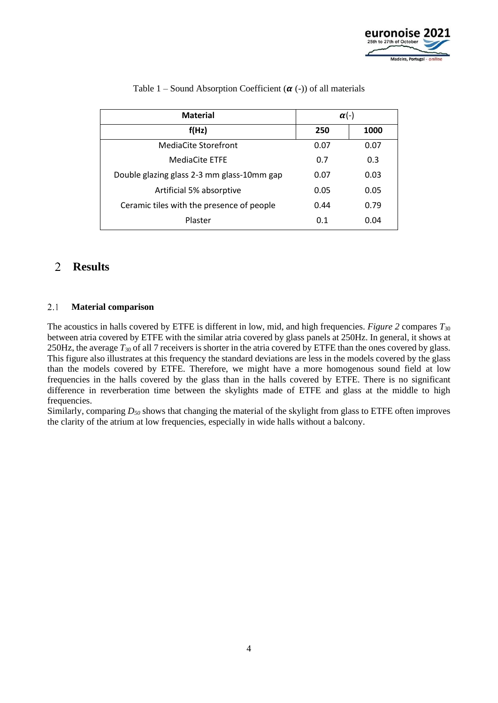

| <b>Material</b>                            | $\alpha$ (-) |      |
|--------------------------------------------|--------------|------|
| f(Hz)                                      | 250          | 1000 |
| MediaCite Storefront                       | 0.07         | 0.07 |
| <b>MediaCite ETFE</b>                      | 0.7          | 0.3  |
| Double glazing glass 2-3 mm glass-10mm gap | 0.07         | 0.03 |
| Artificial 5% absorptive                   | 0.05         | 0.05 |
| Ceramic tiles with the presence of people  | 0.44         | 0.79 |
| Plaster                                    | 0.1          | 0.04 |

# Table 1 – Sound Absorption Coefficient  $(\alpha$  (-)) of all materials

# $\overline{2}$ **Results**

### $2.1$ **Material comparison**

The acoustics in halls covered by ETFE is different in low, mid, and high frequencies. *Figure 2* compares  $T_{30}$ between atria covered by ETFE with the similar atria covered by glass panels at 250Hz. In general, it shows at 250Hz, the average *T*<sup>30</sup> of all 7 receivers is shorter in the atria covered by ETFE than the ones covered by glass. This figure also illustrates at this frequency the standard deviations are less in the models covered by the glass than the models covered by ETFE. Therefore, we might have a more homogenous sound field at low frequencies in the halls covered by the glass than in the halls covered by ETFE. There is no significant difference in reverberation time between the skylights made of ETFE and glass at the middle to high frequencies.

Similarly, comparing *D<sup>50</sup>* shows that changing the material of the skylight from glass to ETFE often improves the clarity of the atrium at low frequencies, especially in wide halls without a balcony.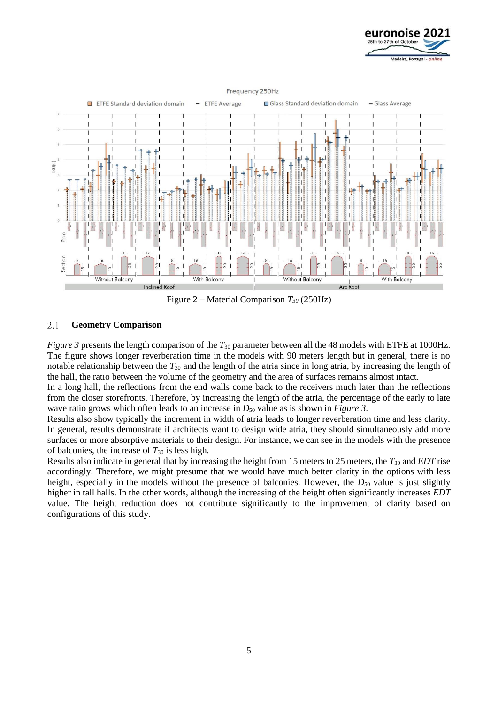



Figure 2 – Material Comparison *T<sup>30</sup>* (250Hz)

### 2.1 **Geometry Comparison**

*Figure 3* presents the length comparison of the  $T_{30}$  parameter between all the 48 models with ETFE at 1000Hz. The figure shows longer reverberation time in the models with 90 meters length but in general, there is no notable relationship between the *T*<sup>30</sup> and the length of the atria since in long atria, by increasing the length of the hall, the ratio between the volume of the geometry and the area of surfaces remains almost intact.

In a long hall, the reflections from the end walls come back to the receivers much later than the reflections from the closer storefronts. Therefore, by increasing the length of the atria, the percentage of the early to late wave ratio grows which often leads to an increase in *D*<sup>50</sup> value as is shown in *Figure 3*.

Results also show typically the increment in width of atria leads to longer reverberation time and less clarity. In general, results demonstrate if architects want to design wide atria, they should simultaneously add more surfaces or more absorptive materials to their design. For instance, we can see in the models with the presence of balconies, the increase of  $T_{30}$  is less high.

Results also indicate in general that by increasing the height from 15 meters to 25 meters, the *T*<sup>30</sup> and *EDT* rise accordingly. Therefore, we might presume that we would have much better clarity in the options with less height, especially in the models without the presence of balconies. However, the *D*<sub>50</sub> value is just slightly higher in tall halls. In the other words, although the increasing of the height often significantly increases *EDT* value. The height reduction does not contribute significantly to the improvement of clarity based on configurations of this study.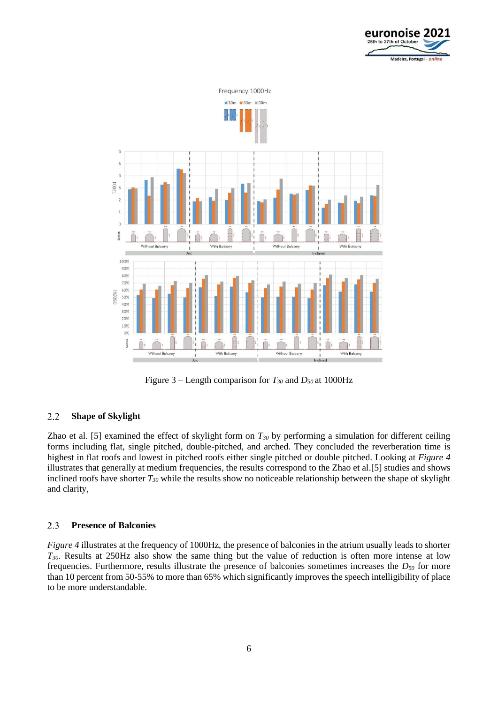



Figure 3 – Length comparison for  $T_{30}$  and  $D_{50}$  at 1000Hz

# $2.2$ **Shape of Skylight**

Zhao et al. [5] examined the effect of skylight form on *T<sup>30</sup>* by performing a simulation for different ceiling forms including flat, single pitched, double-pitched, and arched. They concluded the reverberation time is highest in flat roofs and lowest in pitched roofs either single pitched or double pitched. Looking at *Figure 4*  illustrates that generally at medium frequencies, the results correspond to the Zhao et al.[5] studies and shows inclined roofs have shorter *T<sup>30</sup>* while the results show no noticeable relationship between the shape of skylight and clarity,

#### 2.3 **Presence of Balconies**

*Figure 4* illustrates at the frequency of 1000Hz, the presence of balconies in the atrium usually leads to shorter *T30*. Results at 250Hz also show the same thing but the value of reduction is often more intense at low frequencies. Furthermore, results illustrate the presence of balconies sometimes increases the *D<sup>50</sup>* for more than 10 percent from 50-55% to more than 65% which significantly improves the speech intelligibility of place to be more understandable.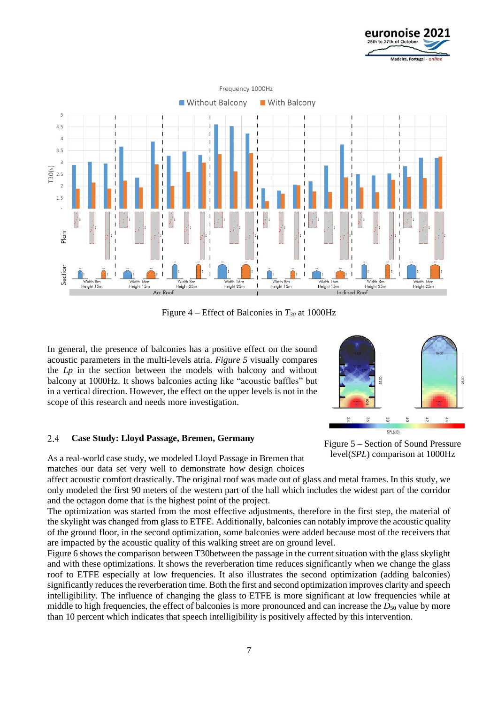



Figure 4 – Effect of Balconies in *T<sup>30</sup>* at 1000Hz

In general, the presence of balconies has a positive effect on the sound acoustic parameters in the multi-levels atria. *Figure 5* visually compares the *Lp* in the section between the models with balcony and without balcony at 1000Hz. It shows balconies acting like "acoustic baffles" but in a vertical direction. However, the effect on the upper levels is not in the scope of this research and needs more investigation.

#### $2.4$ **Case Study: Lloyd Passage, Bremen, Germany**

As a real-world case study, we modeled Lloyd Passage in Bremen that matches our data set very well to demonstrate how design choices

affect acoustic comfort drastically. The original roof was made out of glass and metal frames. In this study, we only modeled the first 90 meters of the western part of the hall which includes the widest part of the corridor and the octagon dome that is the highest point of the project.

The optimization was started from the most effective adjustments, therefore in the first step, the material of the skylight was changed from glass to ETFE. Additionally, balconies can notably improve the acoustic quality of the ground floor, in the second optimization, some balconies were added because most of the receivers that are impacted by the acoustic quality of this walking street are on ground level.

Figure 6 shows the comparison between T30between the passage in the current situation with the glass skylight and with these optimizations. It shows the reverberation time reduces significantly when we change the glass roof to ETFE especially at low frequencies. It also illustrates the second optimization (adding balconies) significantly reduces the reverberation time. Both the first and second optimization improves clarity and speech intelligibility. The influence of changing the glass to ETFE is more significant at low frequencies while at middle to high frequencies, the effect of balconies is more pronounced and can increase the *D*<sub>50</sub> value by more than 10 percent which indicates that speech intelligibility is positively affected by this intervention.



Figure 5 – Section of Sound Pressure level(*SPL*) comparison at 1000Hz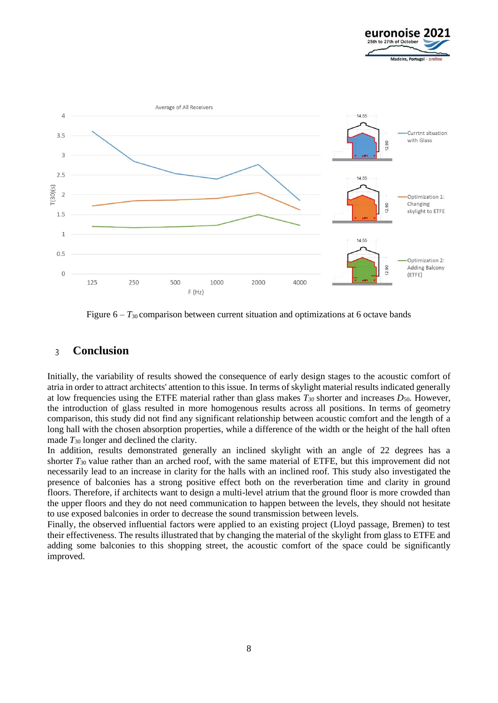



Figure  $6 - T_{30}$  comparison between current situation and optimizations at 6 octave bands

# $\overline{3}$ **Conclusion**

Initially, the variability of results showed the consequence of early design stages to the acoustic comfort of atria in order to attract architects' attention to this issue. In terms of skylight material results indicated generally at low frequencies using the ETFE material rather than glass makes  $T_{30}$  shorter and increases  $D_{50}$ . However, the introduction of glass resulted in more homogenous results across all positions. In terms of geometry comparison, this study did not find any significant relationship between acoustic comfort and the length of a long hall with the chosen absorption properties, while a difference of the width or the height of the hall often made  $T_{30}$  longer and declined the clarity.

In addition, results demonstrated generally an inclined skylight with an angle of 22 degrees has a shorter *T*<sup>30</sup> value rather than an arched roof, with the same material of ETFE, but this improvement did not necessarily lead to an increase in clarity for the halls with an inclined roof. This study also investigated the presence of balconies has a strong positive effect both on the reverberation time and clarity in ground floors. Therefore, if architects want to design a multi-level atrium that the ground floor is more crowded than the upper floors and they do not need communication to happen between the levels, they should not hesitate to use exposed balconies in order to decrease the sound transmission between levels.

Finally, the observed influential factors were applied to an existing project (Lloyd passage, Bremen) to test their effectiveness. The results illustrated that by changing the material of the skylight from glass to ETFE and adding some balconies to this shopping street, the acoustic comfort of the space could be significantly improved.